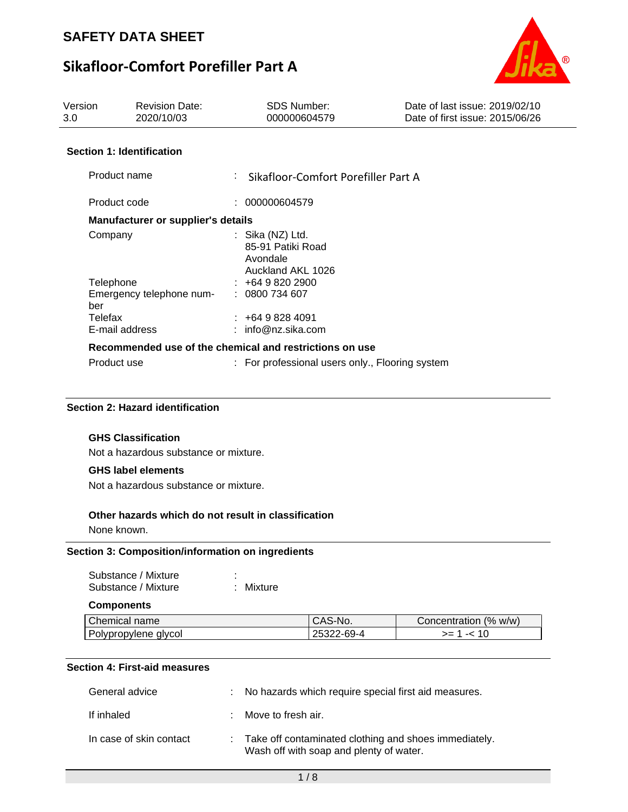## **Sikafloor-Comfort Porefiller Part A**



| Version<br>3.0 | <b>Revision Date:</b><br>2020/10/03       | <b>SDS Number:</b><br>000000604579                                       | Date of last issue: 2019/02/10<br>Date of first issue: 2015/06/26 |
|----------------|-------------------------------------------|--------------------------------------------------------------------------|-------------------------------------------------------------------|
|                | <b>Section 1: Identification</b>          |                                                                          |                                                                   |
|                | Product name                              | : Sikafloor-Comfort Porefiller Part A                                    |                                                                   |
| Product code   |                                           | : 000000604579                                                           |                                                                   |
|                | <b>Manufacturer or supplier's details</b> |                                                                          |                                                                   |
| Company        |                                           | : Sika $(NZ)$ Ltd.<br>85-91 Patiki Road<br>Avondale<br>Auckland AKL 1026 |                                                                   |
| Telephone      |                                           | $\pm 6498202900$                                                         |                                                                   |
| ber            | Emergency telephone num-                  | : 0800734607                                                             |                                                                   |
| Telefax        |                                           | $\div$ +64 9 828 4091                                                    |                                                                   |
|                | E-mail address                            | : $info@nz.sika.com$                                                     |                                                                   |
|                |                                           | Recommended use of the chemical and restrictions on use                  |                                                                   |
| Product use    |                                           | : For professional users only., Flooring system                          |                                                                   |

#### **Section 2: Hazard identification**

#### **GHS Classification**

Not a hazardous substance or mixture.

#### **GHS label elements**

Not a hazardous substance or mixture.

#### **Other hazards which do not result in classification**

None known.

#### **Section 3: Composition/information on ingredients**

| Substance / Mixture | ٠ |           |
|---------------------|---|-----------|
| Substance / Mixture |   | : Mixture |

#### **Components**

| <b>Chemical name</b> | S-No.<br>יטרוע         | (%<br>w/w)<br>Concentration |
|----------------------|------------------------|-----------------------------|
| Polypropylene glycol | $2 - 69 - 4$<br>ZJJZZ. | <u>__</u>                   |

### **Section 4: First-aid measures**

| General advice          | : No hazards which require special first aid measures.                                             |
|-------------------------|----------------------------------------------------------------------------------------------------|
| If inhaled              | Move to fresh air.                                                                                 |
| In case of skin contact | : Take off contaminated clothing and shoes immediately.<br>Wash off with soap and plenty of water. |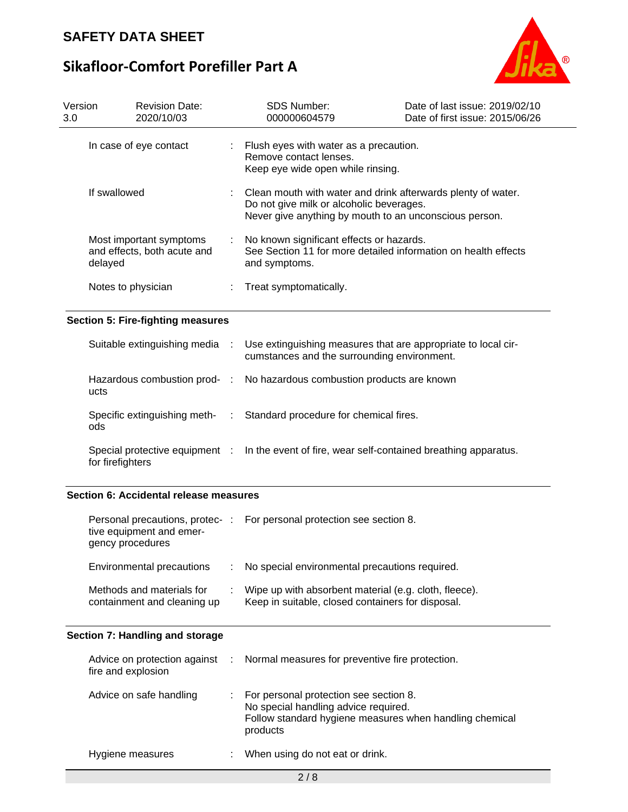# **Sikafloor-Comfort Porefiller Part A**



| Version<br>3.0 |                    | <b>Revision Date:</b><br>2020/10/03                         |      | <b>SDS Number:</b><br>000000604579                                                                                                                                 | Date of last issue: 2019/02/10<br>Date of first issue: 2015/06/26 |
|----------------|--------------------|-------------------------------------------------------------|------|--------------------------------------------------------------------------------------------------------------------------------------------------------------------|-------------------------------------------------------------------|
|                |                    | In case of eye contact                                      |      | Flush eyes with water as a precaution.<br>Remove contact lenses.<br>Keep eye wide open while rinsing.                                                              |                                                                   |
|                | If swallowed       |                                                             |      | Clean mouth with water and drink afterwards plenty of water.<br>Do not give milk or alcoholic beverages.<br>Never give anything by mouth to an unconscious person. |                                                                   |
|                | delayed            | Most important symptoms<br>and effects, both acute and      |      | No known significant effects or hazards.<br>See Section 11 for more detailed information on health effects<br>and symptoms.                                        |                                                                   |
|                | Notes to physician |                                                             |      | Treat symptomatically.                                                                                                                                             |                                                                   |
|                |                    | <b>Section 5: Fire-fighting measures</b>                    |      |                                                                                                                                                                    |                                                                   |
|                |                    | Suitable extinguishing media                                |      | Use extinguishing measures that are appropriate to local cir-<br>cumstances and the surrounding environment.                                                       |                                                                   |
|                | ucts               | Hazardous combustion prod-                                  | - 11 | No hazardous combustion products are known                                                                                                                         |                                                                   |
|                | ods                | Specific extinguishing meth-                                |      | Standard procedure for chemical fires.                                                                                                                             |                                                                   |
|                | for firefighters   | Special protective equipment :                              |      | In the event of fire, wear self-contained breathing apparatus.                                                                                                     |                                                                   |
|                |                    | Section 6: Accidental release measures                      |      |                                                                                                                                                                    |                                                                   |
|                | gency procedures   | Personal precautions, protec- :<br>tive equipment and emer- |      | For personal protection see section 8.                                                                                                                             |                                                                   |
|                |                    | Environmental precautions                                   |      | No special environmental precautions required.                                                                                                                     |                                                                   |
|                |                    | Methods and materials for<br>containment and cleaning up    |      | Wipe up with absorbent material (e.g. cloth, fleece).<br>Keep in suitable, closed containers for disposal.                                                         |                                                                   |
|                |                    | Section 7: Handling and storage                             |      |                                                                                                                                                                    |                                                                   |
|                | fire and explosion | Advice on protection against                                |      | Normal measures for preventive fire protection.                                                                                                                    |                                                                   |
|                |                    | Advice on safe handling                                     |      | For personal protection see section 8.<br>No special handling advice required.<br>Follow standard hygiene measures when handling chemical<br>products              |                                                                   |
|                | Hygiene measures   |                                                             |      | When using do not eat or drink.                                                                                                                                    |                                                                   |
|                |                    |                                                             |      |                                                                                                                                                                    |                                                                   |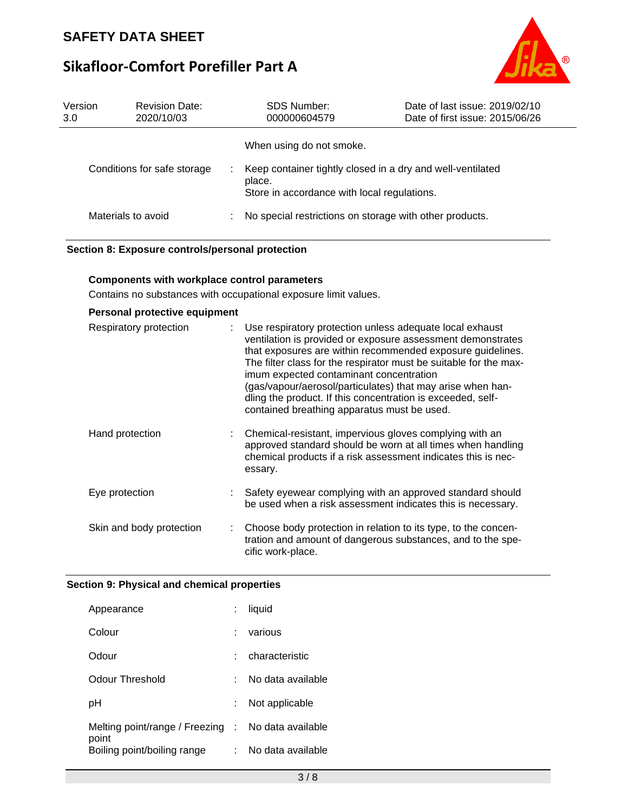## **Sikafloor-Comfort Porefiller Part A**



| Version<br>3.0 | <b>Revision Date:</b><br>2020/10/03 |   | <b>SDS Number:</b><br>000000604579                                                                                  | Date of last issue: 2019/02/10<br>Date of first issue: 2015/06/26 |
|----------------|-------------------------------------|---|---------------------------------------------------------------------------------------------------------------------|-------------------------------------------------------------------|
|                |                                     |   | When using do not smoke.                                                                                            |                                                                   |
|                | Conditions for safe storage         | ÷ | Keep container tightly closed in a dry and well-ventilated<br>place.<br>Store in accordance with local regulations. |                                                                   |
|                | Materials to avoid                  |   | No special restrictions on storage with other products.                                                             |                                                                   |

#### **Section 8: Exposure controls/personal protection**

#### **Components with workplace control parameters**

Contains no substances with occupational exposure limit values.

| Personal protective equipment |  |  |  |  |
|-------------------------------|--|--|--|--|
|-------------------------------|--|--|--|--|

| Respiratory protection   | Use respiratory protection unless adequate local exhaust<br>ventilation is provided or exposure assessment demonstrates<br>that exposures are within recommended exposure guidelines.<br>The filter class for the respirator must be suitable for the max-<br>imum expected contaminant concentration<br>(gas/vapour/aerosol/particulates) that may arise when han-<br>dling the product. If this concentration is exceeded, self-<br>contained breathing apparatus must be used. |
|--------------------------|-----------------------------------------------------------------------------------------------------------------------------------------------------------------------------------------------------------------------------------------------------------------------------------------------------------------------------------------------------------------------------------------------------------------------------------------------------------------------------------|
| Hand protection          | Chemical-resistant, impervious gloves complying with an<br>approved standard should be worn at all times when handling<br>chemical products if a risk assessment indicates this is nec-<br>essary.                                                                                                                                                                                                                                                                                |
| Eye protection           | Safety eyewear complying with an approved standard should<br>be used when a risk assessment indicates this is necessary.                                                                                                                                                                                                                                                                                                                                                          |
| Skin and body protection | Choose body protection in relation to its type, to the concen-<br>tration and amount of dangerous substances, and to the spe-<br>cific work-place.                                                                                                                                                                                                                                                                                                                                |

#### **Section 9: Physical and chemical properties**

| Appearance                           | liquid            |
|--------------------------------------|-------------------|
| Colour                               | various           |
| Odour                                | characteristic    |
| Odour Threshold                      | No data available |
| рH                                   | Not applicable    |
| Melting point/range / Freezing :     | No data available |
| point<br>Boiling point/boiling range | No data available |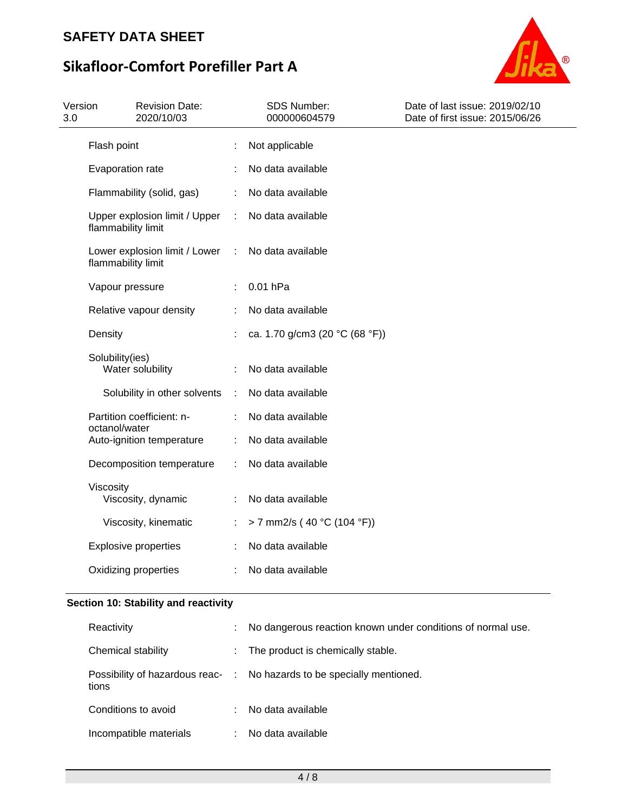# **Sikafloor-Comfort Porefiller Part A**



| Version<br>3.0 | <b>Revision Date:</b><br>2020/10/03                 |                | SDS Number:<br>000000604579    | Date of last issue: 2019/02/10<br>Date of first issue: 2015/06/26 |
|----------------|-----------------------------------------------------|----------------|--------------------------------|-------------------------------------------------------------------|
|                | Flash point                                         | t              | Not applicable                 |                                                                   |
|                | Evaporation rate                                    |                | No data available              |                                                                   |
|                | Flammability (solid, gas)                           | ÷              | No data available              |                                                                   |
|                | Upper explosion limit / Upper<br>flammability limit | $\mathbb{C}^2$ | No data available              |                                                                   |
|                | Lower explosion limit / Lower<br>flammability limit | $\sim 1$       | No data available              |                                                                   |
|                | Vapour pressure                                     | ÷              | 0.01 hPa                       |                                                                   |
|                | Relative vapour density                             |                | No data available              |                                                                   |
|                | Density                                             |                | ca. 1.70 g/cm3 (20 °C (68 °F)) |                                                                   |
|                | Solubility(ies)<br>Water solubility                 | ÷              | No data available              |                                                                   |
|                | Solubility in other solvents                        | ÷              | No data available              |                                                                   |
|                | Partition coefficient: n-<br>octanol/water          |                | No data available              |                                                                   |
|                | Auto-ignition temperature                           | ÷              | No data available              |                                                                   |
|                | Decomposition temperature                           | ÷              | No data available              |                                                                   |
|                | Viscosity<br>Viscosity, dynamic                     | ÷              | No data available              |                                                                   |
|                | Viscosity, kinematic                                | ÷              | > 7 mm2/s (40 °C (104 °F))     |                                                                   |
|                | <b>Explosive properties</b>                         |                | No data available              |                                                                   |
|                | Oxidizing properties                                |                | No data available              |                                                                   |
|                |                                                     |                |                                |                                                                   |

### **Section 10: Stability and reactivity**

| Reactivity                                |    | No dangerous reaction known under conditions of normal use. |
|-------------------------------------------|----|-------------------------------------------------------------|
| Chemical stability                        | t. | The product is chemically stable.                           |
| Possibility of hazardous reac- :<br>tions |    | No hazards to be specially mentioned.                       |
| Conditions to avoid                       | ÷. | No data available                                           |
| Incompatible materials                    |    | No data available                                           |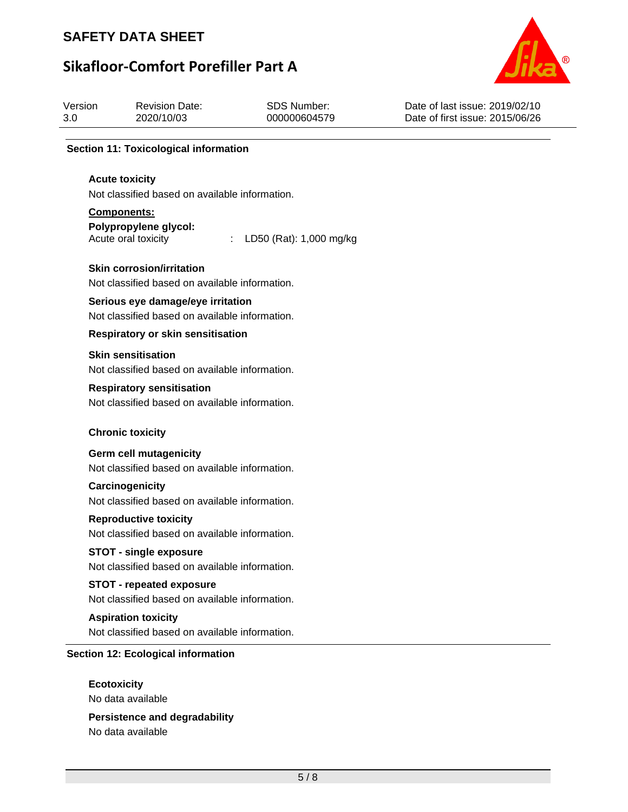# **Sikafloor-Comfort Porefiller Part A**



| Version<br>3.0 | <b>Revision Date:</b><br>2020/10/03                                                 | <b>SDS Number:</b><br>000000604579 | Date of last issue: 2019/02/10<br>Date of first issue: 2015/06/26 |
|----------------|-------------------------------------------------------------------------------------|------------------------------------|-------------------------------------------------------------------|
|                | <b>Section 11: Toxicological information</b>                                        |                                    |                                                                   |
|                | <b>Acute toxicity</b><br>Not classified based on available information.             |                                    |                                                                   |
|                | Components:                                                                         |                                    |                                                                   |
|                | Polypropylene glycol:<br>Acute oral toxicity                                        | LD50 (Rat): 1,000 mg/kg            |                                                                   |
|                | <b>Skin corrosion/irritation</b><br>Not classified based on available information.  |                                    |                                                                   |
|                | Serious eye damage/eye irritation<br>Not classified based on available information. |                                    |                                                                   |
|                | <b>Respiratory or skin sensitisation</b>                                            |                                    |                                                                   |
|                | <b>Skin sensitisation</b><br>Not classified based on available information.         |                                    |                                                                   |
|                | <b>Respiratory sensitisation</b><br>Not classified based on available information.  |                                    |                                                                   |
|                | <b>Chronic toxicity</b>                                                             |                                    |                                                                   |
|                | <b>Germ cell mutagenicity</b><br>Not classified based on available information.     |                                    |                                                                   |
|                | Carcinogenicity<br>Not classified based on available information.                   |                                    |                                                                   |
|                | <b>Reproductive toxicity</b><br>Not classified based on available information.      |                                    |                                                                   |
|                | <b>STOT - single exposure</b><br>Not classified based on available information.     |                                    |                                                                   |
|                | <b>STOT - repeated exposure</b>                                                     |                                    |                                                                   |
|                | Not classified based on available information.                                      |                                    |                                                                   |
|                | <b>Aspiration toxicity</b><br>Not classified based on available information.        |                                    |                                                                   |
|                | <b>Section 12: Ecological information</b>                                           |                                    |                                                                   |
|                | <b>Ecotoxicity</b><br>No data available                                             |                                    |                                                                   |
|                |                                                                                     |                                    |                                                                   |

**Persistence and degradability** No data available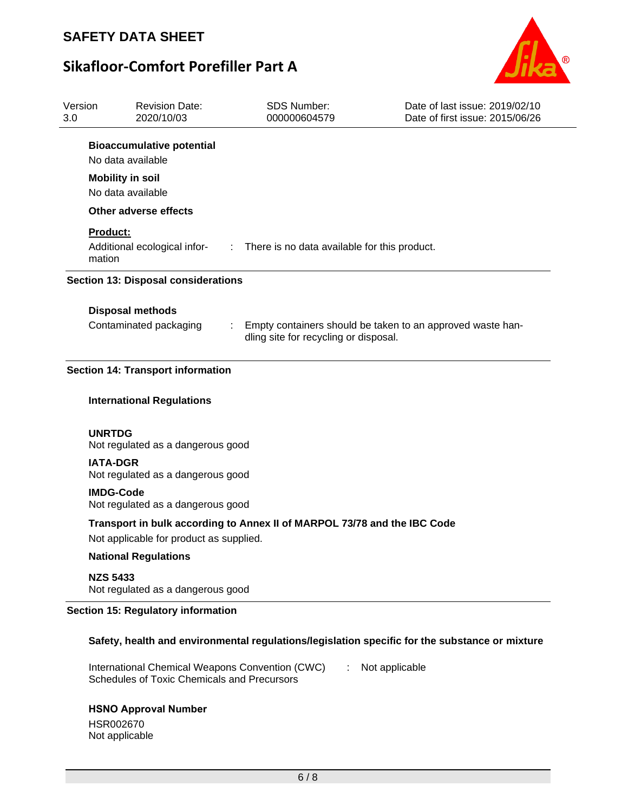

# **Sikafloor-Comfort Porefiller Part A**



| Version<br>3.0     | <b>Revision Date:</b><br>2020/10/03                                                            | <b>SDS Number:</b><br>000000604579                                          | Date of last issue: 2019/02/10<br>Date of first issue: 2015/06/26                              |
|--------------------|------------------------------------------------------------------------------------------------|-----------------------------------------------------------------------------|------------------------------------------------------------------------------------------------|
|                    | <b>Bioaccumulative potential</b><br>No data available                                          |                                                                             |                                                                                                |
|                    | <b>Mobility in soil</b><br>No data available                                                   |                                                                             |                                                                                                |
|                    | Other adverse effects                                                                          |                                                                             |                                                                                                |
| Product:<br>mation |                                                                                                | Additional ecological infor- : There is no data available for this product. |                                                                                                |
|                    | <b>Section 13: Disposal considerations</b>                                                     |                                                                             |                                                                                                |
|                    |                                                                                                |                                                                             |                                                                                                |
|                    | <b>Disposal methods</b><br>Contaminated packaging                                              | dling site for recycling or disposal.                                       | Empty containers should be taken to an approved waste han-                                     |
|                    | <b>Section 14: Transport information</b>                                                       |                                                                             |                                                                                                |
|                    | <b>International Regulations</b>                                                               |                                                                             |                                                                                                |
| <b>UNRTDG</b>      | Not regulated as a dangerous good                                                              |                                                                             |                                                                                                |
| <b>IATA-DGR</b>    | Not regulated as a dangerous good                                                              |                                                                             |                                                                                                |
|                    | <b>IMDG-Code</b><br>Not regulated as a dangerous good                                          |                                                                             |                                                                                                |
|                    |                                                                                                | Transport in bulk according to Annex II of MARPOL 73/78 and the IBC Code    |                                                                                                |
|                    | Not applicable for product as supplied.                                                        |                                                                             |                                                                                                |
|                    | <b>National Regulations</b>                                                                    |                                                                             |                                                                                                |
| <b>NZS 5433</b>    | Not regulated as a dangerous good                                                              |                                                                             |                                                                                                |
|                    | <b>Section 15: Regulatory information</b>                                                      |                                                                             |                                                                                                |
|                    |                                                                                                |                                                                             | Safety, health and environmental regulations/legislation specific for the substance or mixture |
|                    | International Chemical Weapons Convention (CWC)<br>Schedules of Toxic Chemicals and Precursors |                                                                             | Not applicable                                                                                 |
|                    | <b>HSNO Approval Number</b><br>HSR002670<br>Not applicable                                     |                                                                             |                                                                                                |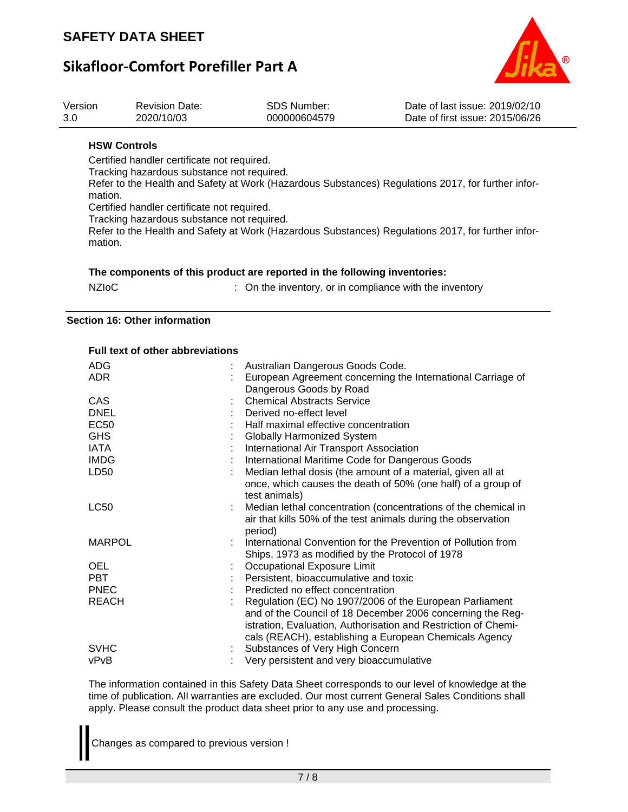

## **Sikafloor-Comfort Porefiller Part A**



| Version<br>3.0 | <b>Revision Date:</b><br>2020/10/03                                                       | <b>SDS Number:</b><br>000000604579 | Date of last issue: 2019/02/10<br>Date of first issue: 2015/06/26                                  |
|----------------|-------------------------------------------------------------------------------------------|------------------------------------|----------------------------------------------------------------------------------------------------|
|                | <b>HSW Controls</b>                                                                       |                                    |                                                                                                    |
| mation.        | Certified handler certificate not required.<br>Tracking hazardous substance not required. |                                    | Refer to the Health and Safety at Work (Hazardous Substances) Regulations 2017, for further infor- |
| mation.        | Certified handler certificate not required.<br>Tracking hazardous substance not required. |                                    | Refer to the Health and Safety at Work (Hazardous Substances) Regulations 2017, for further infor- |
|                |                                                                                           |                                    |                                                                                                    |

|  | The components of this product are reported in the following inventories: |
|--|---------------------------------------------------------------------------|
|  |                                                                           |

| <b>NZIOC</b> | : On the inventory, or in compliance with the inventory |
|--------------|---------------------------------------------------------|
|--------------|---------------------------------------------------------|

#### **Section 16: Other information**

#### **Full text of other abbreviations**

| <b>ADG</b>       | Australian Dangerous Goods Code.                               |
|------------------|----------------------------------------------------------------|
| <b>ADR</b>       | European Agreement concerning the International Carriage of    |
|                  | Dangerous Goods by Road                                        |
| <b>CAS</b>       | <b>Chemical Abstracts Service</b>                              |
| <b>DNEL</b>      | Derived no-effect level                                        |
| <b>EC50</b>      | Half maximal effective concentration                           |
| <b>GHS</b>       | <b>Globally Harmonized System</b>                              |
| IATA             | International Air Transport Association                        |
| <b>IMDG</b>      | International Maritime Code for Dangerous Goods                |
| LD <sub>50</sub> | Median lethal dosis (the amount of a material, given all at    |
|                  | once, which causes the death of 50% (one half) of a group of   |
|                  | test animals)                                                  |
| <b>LC50</b>      | Median lethal concentration (concentrations of the chemical in |
|                  | air that kills 50% of the test animals during the observation  |
|                  | period)                                                        |
| <b>MARPOL</b>    | International Convention for the Prevention of Pollution from  |
|                  | Ships, 1973 as modified by the Protocol of 1978                |
| <b>OEL</b>       | Occupational Exposure Limit                                    |
| <b>PBT</b>       | Persistent, bioaccumulative and toxic                          |
| <b>PNEC</b>      | Predicted no effect concentration                              |
| <b>REACH</b>     | Regulation (EC) No 1907/2006 of the European Parliament        |
|                  | and of the Council of 18 December 2006 concerning the Reg-     |
|                  | istration, Evaluation, Authorisation and Restriction of Chemi- |
|                  | cals (REACH), establishing a European Chemicals Agency         |
| <b>SVHC</b>      | Substances of Very High Concern                                |
| vPvB             | Very persistent and very bioaccumulative                       |

The information contained in this Safety Data Sheet corresponds to our level of knowledge at the time of publication. All warranties are excluded. Our most current General Sales Conditions shall apply. Please consult the product data sheet prior to any use and processing.

Changes as compared to previous version !